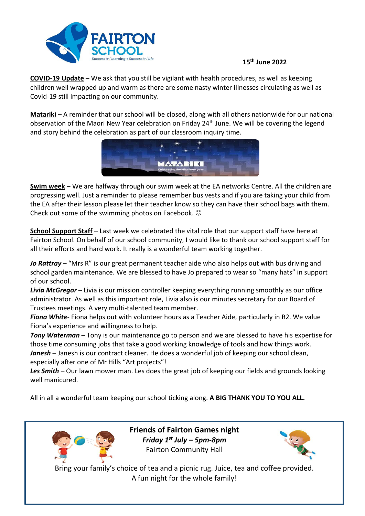

## **15th June 2022**

**COVID-19 Update** – We ask that you still be vigilant with health procedures, as well as keeping children well wrapped up and warm as there are some nasty winter illnesses circulating as well as Covid-19 still impacting on our community.

**Matariki** – A reminder that our school will be closed, along with all others nationwide for our national observation of the Maori New Year celebration on Friday 24<sup>th</sup> June. We will be covering the legend and story behind the celebration as part of our classroom inquiry time.



**Swim week** – We are halfway through our swim week at the EA networks Centre. All the children are progressing well. Just a reminder to please remember bus vests and if you are taking your child from the EA after their lesson please let their teacher know so they can have their school bags with them. Check out some of the swimming photos on Facebook.

**School Support Staff** – Last week we celebrated the vital role that our support staff have here at Fairton School. On behalf of our school community, I would like to thank our school support staff for all their efforts and hard work. It really is a wonderful team working together.

*Jo Rattray* – "Mrs R" is our great permanent teacher aide who also helps out with bus driving and school garden maintenance. We are blessed to have Jo prepared to wear so "many hats" in support of our school.

*Livia McGregor* – Livia is our mission controller keeping everything running smoothly as our office administrator. As well as this important role, Livia also is our minutes secretary for our Board of Trustees meetings. A very multi-talented team member.

*Fiona White*- Fiona helps out with volunteer hours as a Teacher Aide, particularly in R2. We value Fiona's experience and willingness to help.

*Tony Waterman* – Tony is our maintenance go to person and we are blessed to have his expertise for those time consuming jobs that take a good working knowledge of tools and how things work. Janesh - Janesh is our contract cleaner. He does a wonderful job of keeping our school clean, especially after one of Mr Hills "Art projects"!

*Les Smith* – Our lawn mower man. Les does the great job of keeping our fields and grounds looking well manicured.

All in all a wonderful team keeping our school ticking along. **A BIG THANK YOU TO YOU ALL.**



**Friends of Fairton Games night** *Friday 1st July – 5pm-8pm* Fairton Community Hall



Bring your family's choice of tea and a picnic rug. Juice, tea and coffee provided. A fun night for the whole family!